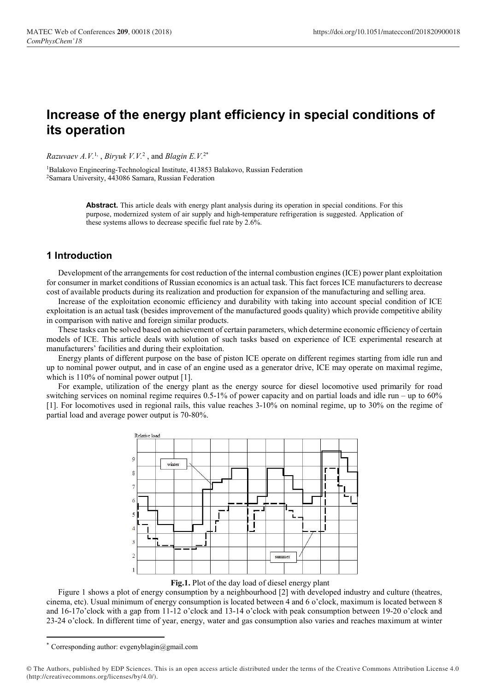# Increase of the energy plant efficiency in special conditions of its operation

*Razuvaev A.V.*<sup>1,</sup> , *Biryuk V.V.*<sup>2</sup>, and *Blagin E.V.*<sup>2\*</sup>

<sup>1</sup>Balakovo Engineering-Technological Institute, 413853 Balakovo, Russian Federation <sup>2</sup>Samara University, 443086 Samara, Russian Federation

> Abstract. This article deals with energy plant analysis during its operation in special conditions. For this purpose, modernized system of air supply and high-temperature refrigeration is suggested. Application of these systems allows to decrease specific fuel rate by 2.6%.

## 1 Introduction

Development of the arrangements for cost reduction of the internal combustion engines (ICE) power plant exploitation for consumer in market conditions of Russian economics is an actual task. This fact forces ICE manufacturers to decrease cost of available products during its realization and production for expansion of the manufacturing and selling area.

Increase of the exploitation economic efficiency and durability with taking into account special condition of ICE exploitation is an actual task (besides improvement of the manufactured goods quality) which provide competitive ability in comparison with native and foreign similar products.

These tasks can be solved based on achievement of certain parameters, which determine economic efficiency of certain models of ICE. This article deals with solution of such tasks based on experience of ICE experimental research at manufacturers' facilities and during their exploitation.

Energy plants of different purpose on the base of piston ICE operate on different regimes starting from idle run and up to nominal power output, and in case of an engine used as a generator drive, ICE may operate on maximal regime, which is  $110\%$  of nominal power output [1].

For example, utilization of the energy plant as the energy source for diesel locomotive used primarily for road switching services on nominal regime requires 0.5-1% of power capacity and on partial loads and idle run – up to 60% [1]. For locomotives used in regional rails, this value reaches 3-10% on nominal regime, up to 30% on the regime of partial load and average power output is 70-80%.



Fig.1. Plot of the day load of diesel energy plant

Figure 1 shows a plot of energy consumption by a neighbourhood [2] with developed industry and culture (theatres, cinema, etc). Usual minimum of energy consumption is located between 4 and 6 o'clock, maximum is located between 8 and 16-17o'clock with a gap from 11-12 o'clock and 13-14 o'clock with peak consumption between 19-20 o'clock and 23-24 o'clock. In different time of year, energy, water and gas consumption also varies and reaches maximum at winter

-

<sup>\*</sup> Corresponding author: evgenyblagin@gmail.com

<sup>©</sup> The Authors, published by EDP Sciences. This is an open access article distributed under the terms of the Creative Commons Attribution License 4.0 (http://creativecommons.org/licenses/by/4.0/).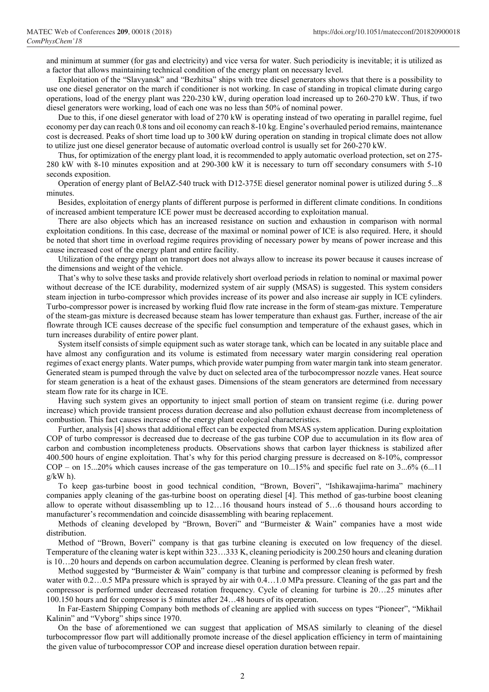and minimum at summer (for gas and electricity) and vice versa for water. Such periodicity is inevitable; it is utilized as a factor that allows maintaining technical condition of the energy plant on necessary level.

Exploitation of the "Slavyansk" and "Bezhitsa" ships with tree diesel generators shows that there is a possibility to use one diesel generator on the march if conditioner is not working. In case of standing in tropical climate during cargo operations, load of the energy plant was 220-230 kW, during operation load increased up to 260-270 kW. Thus, if two diesel generators were working, load of each one was no less than 50% of nominal power.

Due to this, if one diesel generator with load of 270 kW is operating instead of two operating in parallel regime, fuel economy per day can reach 0.8 tons and oil economy can reach 8-10 kg. Engine's overhauled period remains, maintenance cost is decreased. Peaks of short time load up to 300 kW during operation on standing in tropical climate does not allow to utilize just one diesel generator because of automatic overload control is usually set for 260-270 kW.

Thus, for optimization of the energy plant load, it is recommended to apply automatic overload protection, set on 275- 280 kW with 8-10 minutes exposition and at 290-300 kW it is necessary to turn off secondary consumers with 5-10 seconds exposition.

Operation of energy plant of BelAZ-540 truck with D12-375E diesel generator nominal power is utilized during 5...8 minutes.

Besides, exploitation of energy plants of different purpose is performed in different climate conditions. In conditions of increased ambient temperature ICE power must be decreased according to exploitation manual.

There are also objects which has an increased resistance on suction and exhaustion in comparison with normal exploitation conditions. In this case, decrease of the maximal or nominal power of ICE is also required. Here, it should be noted that short time in overload regime requires providing of necessary power by means of power increase and this cause increased cost of the energy plant and entire facility.

Utilization of the energy plant on transport does not always allow to increase its power because it causes increase of the dimensions and weight of the vehicle.

That's why to solve these tasks and provide relatively short overload periods in relation to nominal or maximal power without decrease of the ICE durability, modernized system of air supply (MSAS) is suggested. This system considers steam injection in turbo-compressor which provides increase of its power and also increase air supply in ICE cylinders. Turbo-compressor power is increased by working fluid flow rate increase in the form of steam-gas mixture. Temperature of the steam-gas mixture is decreased because steam has lower temperature than exhaust gas. Further, increase of the air flowrate through ICE causes decrease of the specific fuel consumption and temperature of the exhaust gases, which in turn increases durability of entire power plant.

System itself consists of simple equipment such as water storage tank, which can be located in any suitable place and have almost any configuration and its volume is estimated from necessary water margin considering real operation regimes of exact energy plants. Water pumps, which provide water pumping from water margin tank into steam generator. Generated steam is pumped through the valve by duct on selected area of the turbocompressor nozzle vanes. Heat source for steam generation is a heat of the exhaust gases. Dimensions of the steam generators are determined from necessary steam flow rate for its charge in ICE.

Having such system gives an opportunity to inject small portion of steam on transient regime (i.e. during power increase) which provide transient process duration decrease and also pollution exhaust decrease from incompleteness of combustion. This fact causes increase of the energy plant ecological characteristics.

Further, analysis [4] shows that additional effect can be expected from MSAS system application. During exploitation COP of turbo compressor is decreased due to decrease of the gas turbine COP due to accumulation in its flow area of carbon and combustion incompleteness products. Observations shows that carbon layer thickness is stabilized after 400.500 hours of engine exploitation. That's why for this period charging pressure is decreased on 8-10%, compressor COP – on 15...20% which causes increase of the gas temperature on 10...15% and specific fuel rate on 3...6% (6...11  $g/kW$  h).

To keep gas-turbine boost in good technical condition, "Brown, Boveri", "Ishikawajima-harima" machinery companies apply cleaning of the gas-turbine boost on operating diesel [4]. This method of gas-turbine boost cleaning allow to operate without disassembling up to 12…16 thousand hours instead of 5…6 thousand hours according to manufacturer's recommendation and coincide disassembling with bearing replacement.

Methods of cleaning developed by "Brown, Boveri" and "Burmeister & Wain" companies have a most wide distribution.

Method of "Brown, Boveri" company is that gas turbine cleaning is executed on low frequency of the diesel. Temperature of the cleaning water is kept within 323…333 K, cleaning periodicity is 200.250 hours and cleaning duration is 10…20 hours and depends on carbon accumulation degree. Cleaning is performed by clean fresh water.

Method suggested by "Burmeister & Wain" company is that turbine and compressor cleaning is peformed by fresh water with 0.2…0.5 MPa pressure which is sprayed by air with  $0.4$ …1.0 MPa pressure. Cleaning of the gas part and the compressor is performed under decreased rotation frequency. Cycle of cleaning for turbine is 20…25 minutes after 100.150 hours and for compressor is 5 minutes after 24…48 hours of its operation.

In Far-Eastern Shipping Company both methods of cleaning are applied with success on types "Pioneer", "Mikhail Kalinin" and "Vyborg" ships since 1970.

On the base of aforementioned we can suggest that application of MSAS similarly to cleaning of the diesel turbocompressor flow part will additionally promote increase of the diesel application efficiency in term of maintaining the given value of turbocompressor COP and increase diesel operation duration between repair.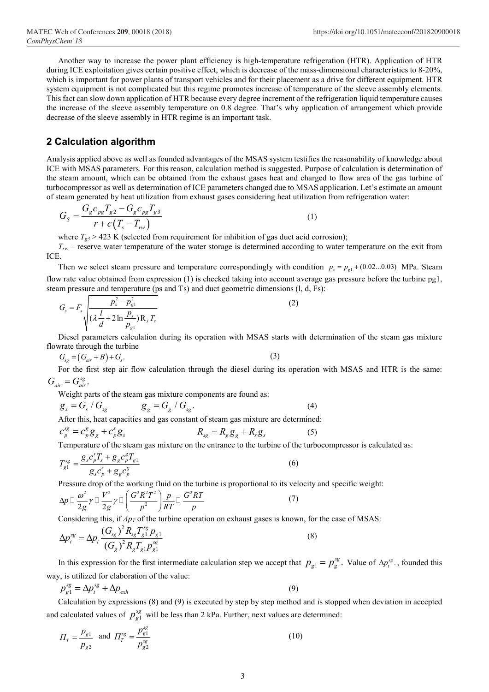Another way to increase the power plant efficiency is high-temperature refrigeration (HTR). Application of HTR during ICE exploitation gives certain positive effect, which is decrease of the mass-dimensional characteristics to 8-20%, which is important for power plants of transport vehicles and for their placement as a drive for different equipment. HTR system equipment is not complicated but this regime promotes increase of temperature of the sleeve assembly elements. This fact can slow down application of HTR because every degree increment of the refrigeration liquid temperature causes the increase of the sleeve assembly temperature on 0.8 degree. That's why application of arrangement which provide decrease of the sleeve assembly in HTR regime is an important task. **209.** 00018 (2018)<br>
https://doi.org/10.1051/matecconf<br>
increase the power plant efficiency is high-temperature refrigeration (HTR). Application<br>
increase the power plant efficiency is high-temperature refrigeration (HTR)

## 2 Calculation algorithm

Analysis applied above as well as founded advantages of the MSAS system testifies the reasonability of knowledge about ICE with MSAS parameters. For this reason, calculation method is suggested. Purpose of calculation is determination of the steam amount, which can be obtained from the exhaust gases heat and charged to flow area of the gas turbine of turbocompressor as well as determination of ICE parameters changed due to MSAS application. Let's estimate an amount of steam generated by heat utilization from exhaust gases considering heat utilization from refrigeration water:

$$
G_{S} = \frac{G_{g}c_{pg}T_{g2} - G_{g}c_{pg}T_{g3}}{r + c(T_{s} - T_{rw})}
$$
\n(1)

where  $T_{g3}$  > 423 K (selected from requirement for inhibition of gas duct acid corrosion);

 $T_{rw}$  – reserve water temperature of the water storage is determined according to water temperature on the exit from ICE.

Then we select steam pressure and temperature correspondingly with condition  $p_s = p_{g1} + (0.02...0.03)$  MPa. Steam flow rate value obtained from expression (1) is checked taking into account average gas pressure before the turbine pg1, steam pressure and temperature (ps and Ts) and duct geometric dimensions (l, d, Fs):

$$
G_{s} = F_{s} \sqrt{\frac{p_{s}^{2} - p_{g1}^{2}}{( \lambda \frac{l}{d} + 2 \ln \frac{p_{s}}{p_{g1}}) R_{s} T_{s}}}
$$
(2)

Diesel parameters calculation during its operation with MSAS starts with determination of the steam gas mixture flowrate through the turbine

$$
G_{sg} = (G_{air} + B) + G_s. \tag{3}
$$

For the first step air flow calculation through the diesel during its operation with MSAS and HTR is the same:  $G_{air} = G_{air}^{sg}$ .

Weight parts of the steam gas mixture components are found as:

$$
g_s = G_s / G_{sg} \qquad \qquad g_g = G_g / G_{sg} \qquad (4)
$$

After this, heat capacities and gas constant of steam gas mixture are determined:

$$
c_p^{sg} = c_p^g g_g + c_p^s g_s \qquad R_{sg} = R_g g_g + R_s g_s \qquad (5)
$$

Temperature of the steam gas mixture on the entrance to the turbine of the turbocompressor is calculated as:  $s \pi$   $g \pi$ 

$$
T_{g1}^{sg} = \frac{g_s c_p^s T_s + g_g c_p^g T_{g1}}{g_s c_p^s + g_g c_p^g}
$$
 (6)

Pressure drop of the working fluid on the turbine is proportional to its velocity and specific weight:

$$
\Delta p \Box \frac{\omega^2}{2g} \gamma \Box \frac{V^2}{2g} \gamma \Box \left( \frac{G^2 R^2 T^2}{p^2} \right) \frac{p}{RT} \Box \frac{G^2 RT}{p}
$$
 (7)

Considering this, if  $\Delta p_T$  of the turbine operation on exhaust gases is known, for the case of MSAS:

$$
\Delta p_i^{sg} = \Delta p_i \frac{(G_{sg})^2 R_{sg} T_{g1}^{sg} p_{g1}}{(G_g)^2 R_g T_{g1} p_{g1}^{sg}}
$$
\n(8)

In this expression for the first intermediate calculation step we accept that  $p_{g1} = p_g^{sg}$ . Value of  $\Delta p_i^{sg}$ , founded this way, is utilized for elaboration of the value:

$$
p_{g1}^{sg} = \Delta p_i^{sg} + \Delta p_{exh} \tag{9}
$$

Calculation by expressions (8) and (9) is executed by step by step method and is stopped when deviation in accepted and calculated values of  $p_{g1}^{sg}$  will be less than 2 kPa. Further, next values are determined:

$$
\Pi_T = \frac{p_{g1}}{p_{g2}} \text{ and } \Pi_T^{sg} = \frac{p_{g1}^{sg}}{p_{g2}^{sg}} \tag{10}
$$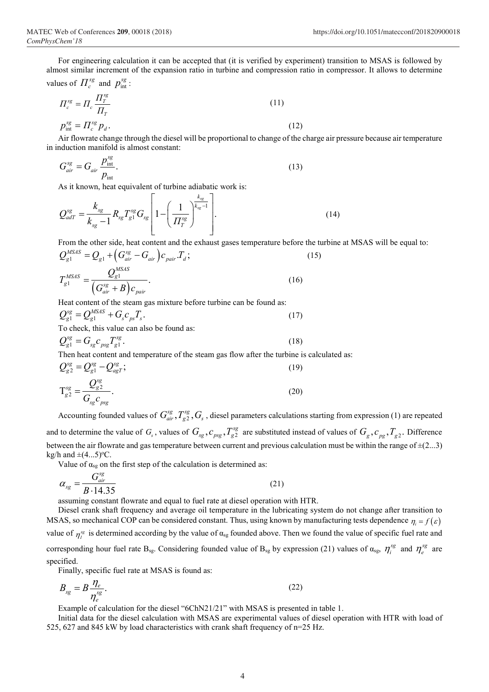For engineering calculation it can be accepted that (it is verified by experiment) transition to MSAS is followed by almost similar increment of the expansion ratio in turbine and compression ratio in compressor. It allows to determine values of  $\prod_{c}^{sg}$  and  $p_{\text{int}}^{sg}$ :

$$
H_c^{sg} = H_c \frac{H_T^{sg}}{H_T}
$$
\n
$$
p_{\text{int}}^{sg} = H_c^{sg} p_d.
$$
\n(11)

Air flowrate change through the diesel will be proportional to change of the charge air pressure because air temperature in induction manifold is almost constant:

$$
G_{air}^{sg} = G_{air} \frac{p_{int}^{sg}}{p_{int}}.
$$
 (13)

As it known, heat equivalent of turbine adiabatic work is:

1 1 1 1 . 1 sg sg k k sg sg sg adT sg g sg sg sg T k Q R T G k П (14) 

From the other side, heat content and the exhaust gases temperature before the turbine at MSAS will be equal to:

$$
Q_{g1}^{MSAS} = Q_{g1} + (G_{air}^{sg} - G_{air})c_{pair}T_d;
$$
  
\n
$$
T_{g1}^{MSAS} = \frac{Q_{g1}^{MSAS}}{(G_{air}^{sg} + B)c_{pair}}.
$$
\n(16)

Heat content of the steam gas mixture before turbine can be found as:

$$
Q_{g1}^{sg} = Q_{g1}^{MSAS} + G_s c_{ps} T_s.
$$
  
To check this value can also be found as:

$$
Q_{g1}^{sg} = G_{sg} c_{psg} T_{g1}^{sg}.
$$
\n(18)

Then heat content and temperature of the steam gas flow after the turbine is calculated as:

$$
Q_{g2}^{sg} = Q_{g1}^{sg} - Q_{agT}^{sg};
$$
\n
$$
T_{g2}^{sg} = \frac{Q_{g2}^{sg}}{G_{sg}c_{pgg}}.
$$
\n(19)

Accounting founded values of  $G_{air}^{sg}, T_{g2}^{sg}, G_s$  , diesel parameters calculations starting from expression (1) are repeated and to determine the value of  $G_s$ , values of  $G_{sg}$ ,  $C_{pg}$ ,  $T_{g2}^{sg}$  are substituted instead of values of  $G_g$ ,  $C_{pg}$ ,  $T_{g2}$ . Difference between the air flowrate and gas temperature between current and previous calculation must be within the range of  $\pm(2...3)$ kg/h and  $\pm$ (4...5)<sup>o</sup>C.

Value of  $\alpha_{sg}$  on the first step of the calculation is determined as:

$$
\alpha_{sg} = \frac{G_{air}^{sg}}{B \cdot 14.35} \tag{21}
$$

assuming constant flowrate and equal to fuel rate at diesel operation with HTR.

Diesel crank shaft frequency and average oil temperature in the lubricating system do not change after transition to MSAS, so mechanical COP can be considered constant. Thus, using known by manufacturing tests dependence  $\eta_i = f(\varepsilon)$ value of  $\eta_l^{sg}$  is determined according by the value of  $\alpha_{sg}$  founded above. Then we found the value of specific fuel rate and corresponding hour fuel rate B<sub>sg</sub>. Considering founded value of B<sub>sg</sub> by expression (21) values of  $\alpha_{sg}$ ,  $\eta_i^{sg}$  and  $\eta_e^{sg}$  are specified.

Finally, specific fuel rate at MSAS is found as:

$$
B_{sg} = B \frac{\eta_e}{\eta_e^{sg}}.\tag{22}
$$

Example of calculation for the diesel "6ChN21/21" with MSAS is presented in table 1.

Initial data for the diesel calculation with MSAS are experimental values of diesel operation with HTR with load of 525, 627 and 845 kW by load characteristics with crank shaft frequency of n=25 Hz.